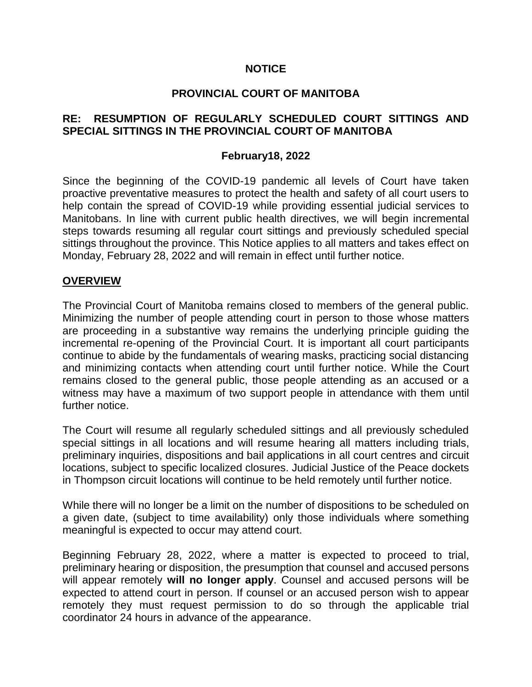### **NOTICE**

### **PROVINCIAL COURT OF MANITOBA**

## **RE: RESUMPTION OF REGULARLY SCHEDULED COURT SITTINGS AND SPECIAL SITTINGS IN THE PROVINCIAL COURT OF MANITOBA**

#### **February18, 2022**

Since the beginning of the COVID-19 pandemic all levels of Court have taken proactive preventative measures to protect the health and safety of all court users to help contain the spread of COVID-19 while providing essential judicial services to Manitobans. In line with current public health directives, we will begin incremental steps towards resuming all regular court sittings and previously scheduled special sittings throughout the province. This Notice applies to all matters and takes effect on Monday, February 28, 2022 and will remain in effect until further notice.

#### **OVERVIEW**

The Provincial Court of Manitoba remains closed to members of the general public. Minimizing the number of people attending court in person to those whose matters are proceeding in a substantive way remains the underlying principle guiding the incremental re-opening of the Provincial Court. It is important all court participants continue to abide by the fundamentals of wearing masks, practicing social distancing and minimizing contacts when attending court until further notice. While the Court remains closed to the general public, those people attending as an accused or a witness may have a maximum of two support people in attendance with them until further notice.

The Court will resume all regularly scheduled sittings and all previously scheduled special sittings in all locations and will resume hearing all matters including trials, preliminary inquiries, dispositions and bail applications in all court centres and circuit locations, subject to specific localized closures. Judicial Justice of the Peace dockets in Thompson circuit locations will continue to be held remotely until further notice.

While there will no longer be a limit on the number of dispositions to be scheduled on a given date, (subject to time availability) only those individuals where something meaningful is expected to occur may attend court.

Beginning February 28, 2022, where a matter is expected to proceed to trial, preliminary hearing or disposition, the presumption that counsel and accused persons will appear remotely **will no longer apply**. Counsel and accused persons will be expected to attend court in person. If counsel or an accused person wish to appear remotely they must request permission to do so through the applicable trial coordinator 24 hours in advance of the appearance.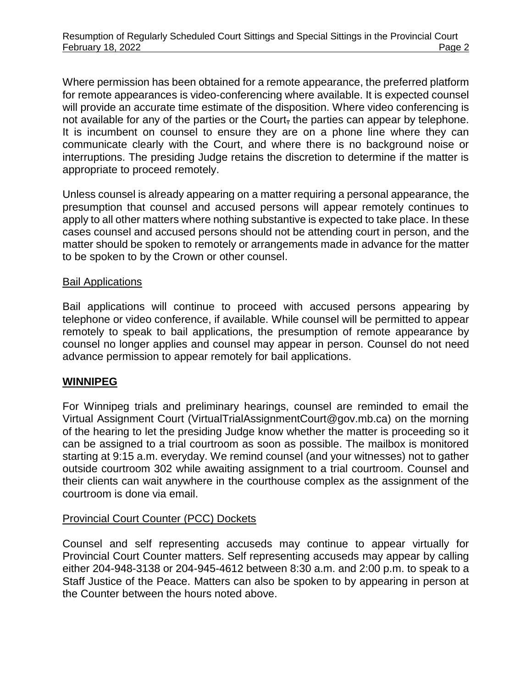Where permission has been obtained for a remote appearance, the preferred platform for remote appearances is video-conferencing where available. It is expected counsel will provide an accurate time estimate of the disposition. Where video conferencing is not available for any of the parties or the Court, the parties can appear by telephone. It is incumbent on counsel to ensure they are on a phone line where they can communicate clearly with the Court, and where there is no background noise or interruptions. The presiding Judge retains the discretion to determine if the matter is appropriate to proceed remotely.

Unless counsel is already appearing on a matter requiring a personal appearance, the presumption that counsel and accused persons will appear remotely continues to apply to all other matters where nothing substantive is expected to take place. In these cases counsel and accused persons should not be attending court in person, and the matter should be spoken to remotely or arrangements made in advance for the matter to be spoken to by the Crown or other counsel.

### Bail Applications

Bail applications will continue to proceed with accused persons appearing by telephone or video conference, if available. While counsel will be permitted to appear remotely to speak to bail applications, the presumption of remote appearance by counsel no longer applies and counsel may appear in person. Counsel do not need advance permission to appear remotely for bail applications.

## **WINNIPEG**

For Winnipeg trials and preliminary hearings, counsel are reminded to email the Virtual Assignment Court (VirtualTrialAssignmentCourt@gov.mb.ca) on the morning of the hearing to let the presiding Judge know whether the matter is proceeding so it can be assigned to a trial courtroom as soon as possible. The mailbox is monitored starting at 9:15 a.m. everyday. We remind counsel (and your witnesses) not to gather outside courtroom 302 while awaiting assignment to a trial courtroom. Counsel and their clients can wait anywhere in the courthouse complex as the assignment of the courtroom is done via email.

## Provincial Court Counter (PCC) Dockets

Counsel and self representing accuseds may continue to appear virtually for Provincial Court Counter matters. Self representing accuseds may appear by calling either 204-948-3138 or 204-945-4612 between 8:30 a.m. and 2:00 p.m. to speak to a Staff Justice of the Peace. Matters can also be spoken to by appearing in person at the Counter between the hours noted above.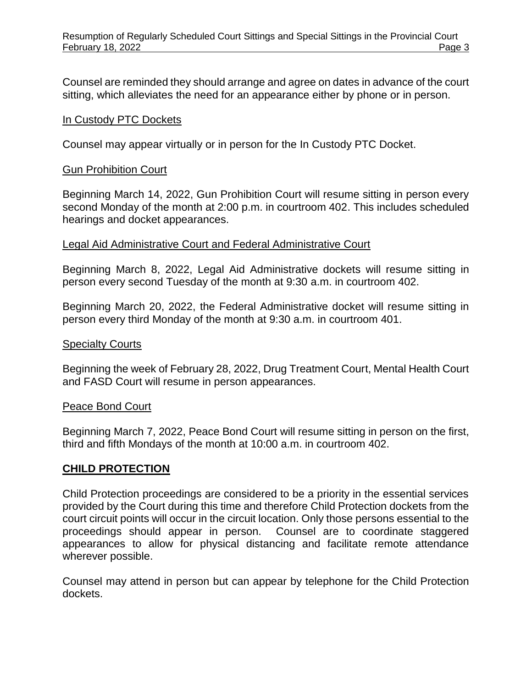Counsel are reminded they should arrange and agree on dates in advance of the court sitting, which alleviates the need for an appearance either by phone or in person.

#### In Custody PTC Dockets

Counsel may appear virtually or in person for the In Custody PTC Docket.

### Gun Prohibition Court

Beginning March 14, 2022, Gun Prohibition Court will resume sitting in person every second Monday of the month at 2:00 p.m. in courtroom 402. This includes scheduled hearings and docket appearances.

### Legal Aid Administrative Court and Federal Administrative Court

Beginning March 8, 2022, Legal Aid Administrative dockets will resume sitting in person every second Tuesday of the month at 9:30 a.m. in courtroom 402.

Beginning March 20, 2022, the Federal Administrative docket will resume sitting in person every third Monday of the month at 9:30 a.m. in courtroom 401.

#### Specialty Courts

Beginning the week of February 28, 2022, Drug Treatment Court, Mental Health Court and FASD Court will resume in person appearances.

#### Peace Bond Court

Beginning March 7, 2022, Peace Bond Court will resume sitting in person on the first, third and fifth Mondays of the month at 10:00 a.m. in courtroom 402.

## **CHILD PROTECTION**

Child Protection proceedings are considered to be a priority in the essential services provided by the Court during this time and therefore Child Protection dockets from the court circuit points will occur in the circuit location. Only those persons essential to the proceedings should appear in person. Counsel are to coordinate staggered appearances to allow for physical distancing and facilitate remote attendance wherever possible.

Counsel may attend in person but can appear by telephone for the Child Protection dockets.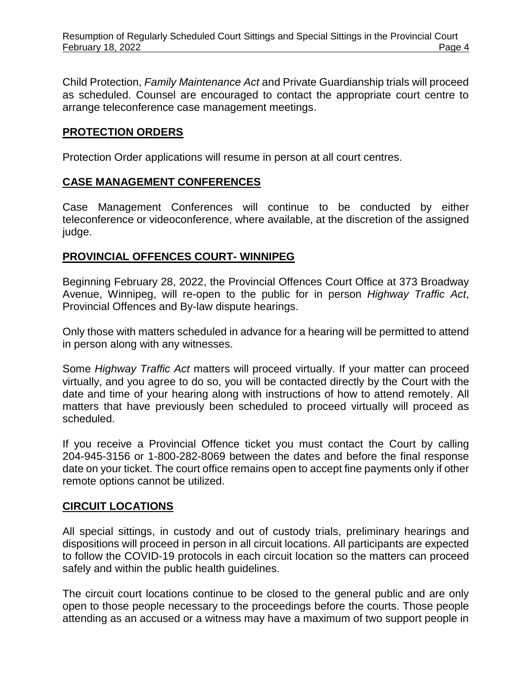Child Protection, *Family Maintenance Act* and Private Guardianship trials will proceed as scheduled. Counsel are encouraged to contact the appropriate court centre to arrange teleconference case management meetings.

## **PROTECTION ORDERS**

Protection Order applications will resume in person at all court centres.

## **CASE MANAGEMENT CONFERENCES**

Case Management Conferences will continue to be conducted by either teleconference or videoconference, where available, at the discretion of the assigned judge.

## **PROVINCIAL OFFENCES COURT- WINNIPEG**

Beginning February 28, 2022, the Provincial Offences Court Office at 373 Broadway Avenue, Winnipeg, will re-open to the public for in person *Highway Traffic Act*, Provincial Offences and By-law dispute hearings.

Only those with matters scheduled in advance for a hearing will be permitted to attend in person along with any witnesses.

Some *Highway Traffic Act* matters will proceed virtually. If your matter can proceed virtually, and you agree to do so, you will be contacted directly by the Court with the date and time of your hearing along with instructions of how to attend remotely. All matters that have previously been scheduled to proceed virtually will proceed as scheduled.

If you receive a Provincial Offence ticket you must contact the Court by calling 204-945-3156 or 1-800-282-8069 between the dates and before the final response date on your ticket. The court office remains open to accept fine payments only if other remote options cannot be utilized.

## **CIRCUIT LOCATIONS**

All special sittings, in custody and out of custody trials, preliminary hearings and dispositions will proceed in person in all circuit locations. All participants are expected to follow the COVID-19 protocols in each circuit location so the matters can proceed safely and within the public health guidelines.

The circuit court locations continue to be closed to the general public and are only open to those people necessary to the proceedings before the courts. Those people attending as an accused or a witness may have a maximum of two support people in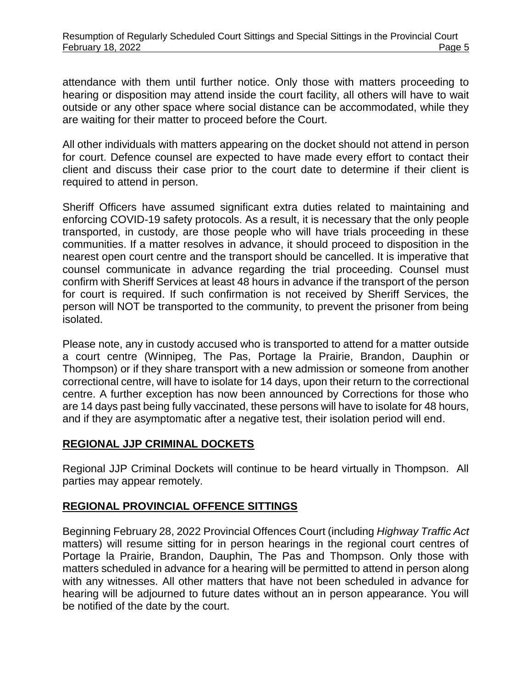attendance with them until further notice. Only those with matters proceeding to hearing or disposition may attend inside the court facility, all others will have to wait outside or any other space where social distance can be accommodated, while they are waiting for their matter to proceed before the Court.

All other individuals with matters appearing on the docket should not attend in person for court. Defence counsel are expected to have made every effort to contact their client and discuss their case prior to the court date to determine if their client is required to attend in person.

Sheriff Officers have assumed significant extra duties related to maintaining and enforcing COVID-19 safety protocols. As a result, it is necessary that the only people transported, in custody, are those people who will have trials proceeding in these communities. If a matter resolves in advance, it should proceed to disposition in the nearest open court centre and the transport should be cancelled. It is imperative that counsel communicate in advance regarding the trial proceeding. Counsel must confirm with Sheriff Services at least 48 hours in advance if the transport of the person for court is required. If such confirmation is not received by Sheriff Services, the person will NOT be transported to the community, to prevent the prisoner from being isolated.

Please note, any in custody accused who is transported to attend for a matter outside a court centre (Winnipeg, The Pas, Portage la Prairie, Brandon, Dauphin or Thompson) or if they share transport with a new admission or someone from another correctional centre, will have to isolate for 14 days, upon their return to the correctional centre. A further exception has now been announced by Corrections for those who are 14 days past being fully vaccinated, these persons will have to isolate for 48 hours, and if they are asymptomatic after a negative test, their isolation period will end.

## **REGIONAL JJP CRIMINAL DOCKETS**

Regional JJP Criminal Dockets will continue to be heard virtually in Thompson. All parties may appear remotely.

# **REGIONAL PROVINCIAL OFFENCE SITTINGS**

Beginning February 28, 2022 Provincial Offences Court (including *Highway Traffic Act* matters) will resume sitting for in person hearings in the regional court centres of Portage la Prairie, Brandon, Dauphin, The Pas and Thompson. Only those with matters scheduled in advance for a hearing will be permitted to attend in person along with any witnesses. All other matters that have not been scheduled in advance for hearing will be adjourned to future dates without an in person appearance. You will be notified of the date by the court.